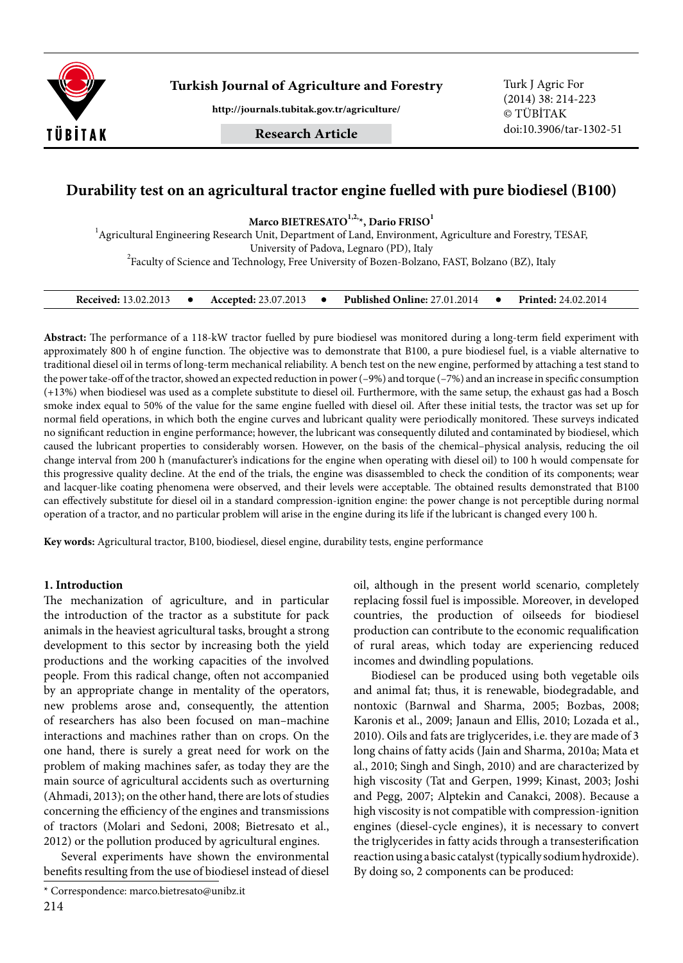

**Turkish Journal of Agriculture and Forestry** Turk J Agric For

**http://journals.tubitak.gov.tr/agriculture/**

**Research Article**

(2014) 38: 214-223 © TÜBİTAK doi:10.3906/tar-1302-51

# **Durability test on an agricultural tractor engine fuelled with pure biodiesel (B100)**

Marco BIETRESATO<sup>1,2,</sup><sup>\*</sup>, Dario FRISO<sup>1</sup>

 $^{\text{1}}$ Agricultural Engineering Research Unit, Department of Land, Environment, Agriculture and Forestry, TESAF,

University of Padova, Legnaro (PD), Italy<br><sup>2</sup>Faculty of Science and Technology, Free University of Bozen-Bolzano, FAST, Bolzano (BZ), Italy

| <b>Received: 13.02.2013</b> |  | <b>Accepted: 23.07.2013</b> |  | <b>Published Online: 27.01.2014</b> |  | <b>Printed:</b> 24.02.2014 |
|-----------------------------|--|-----------------------------|--|-------------------------------------|--|----------------------------|
|-----------------------------|--|-----------------------------|--|-------------------------------------|--|----------------------------|

**Abstract:** The performance of a 118-kW tractor fuelled by pure biodiesel was monitored during a long-term field experiment with approximately 800 h of engine function. The objective was to demonstrate that B100, a pure biodiesel fuel, is a viable alternative to traditional diesel oil in terms of long-term mechanical reliability. A bench test on the new engine, performed by attaching a test stand to the power take-off of the tractor, showed an expected reduction in power (–9%) and torque (–7%) and an increase in specific consumption (+13%) when biodiesel was used as a complete substitute to diesel oil. Furthermore, with the same setup, the exhaust gas had a Bosch smoke index equal to 50% of the value for the same engine fuelled with diesel oil. After these initial tests, the tractor was set up for normal field operations, in which both the engine curves and lubricant quality were periodically monitored. These surveys indicated no significant reduction in engine performance; however, the lubricant was consequently diluted and contaminated by biodiesel, which caused the lubricant properties to considerably worsen. However, on the basis of the chemical–physical analysis, reducing the oil change interval from 200 h (manufacturer's indications for the engine when operating with diesel oil) to 100 h would compensate for this progressive quality decline. At the end of the trials, the engine was disassembled to check the condition of its components; wear and lacquer-like coating phenomena were observed, and their levels were acceptable. The obtained results demonstrated that B100 can effectively substitute for diesel oil in a standard compression-ignition engine: the power change is not perceptible during normal operation of a tractor, and no particular problem will arise in the engine during its life if the lubricant is changed every 100 h.

**Key words:** Agricultural tractor, B100, biodiesel, diesel engine, durability tests, engine performance

### **1. Introduction**

The mechanization of agriculture, and in particular the introduction of the tractor as a substitute for pack animals in the heaviest agricultural tasks, brought a strong development to this sector by increasing both the yield productions and the working capacities of the involved people. From this radical change, often not accompanied by an appropriate change in mentality of the operators, new problems arose and, consequently, the attention of researchers has also been focused on man–machine interactions and machines rather than on crops. On the one hand, there is surely a great need for work on the problem of making machines safer, as today they are the main source of agricultural accidents such as overturning (Ahmadi, 2013); on the other hand, there are lots of studies concerning the efficiency of the engines and transmissions of tractors (Molari and Sedoni, 2008; Bietresato et al., 2012) or the pollution produced by agricultural engines.

Several experiments have shown the environmental benefits resulting from the use of biodiesel instead of diesel oil, although in the present world scenario, completely replacing fossil fuel is impossible. Moreover, in developed countries, the production of oilseeds for biodiesel production can contribute to the economic requalification of rural areas, which today are experiencing reduced incomes and dwindling populations.

Biodiesel can be produced using both vegetable oils and animal fat; thus, it is renewable, biodegradable, and nontoxic (Barnwal and Sharma, 2005; Bozbas, 2008; Karonis et al., 2009; Janaun and Ellis, 2010; Lozada et al., 2010). Oils and fats are triglycerides, i.e. they are made of 3 long chains of fatty acids (Jain and Sharma, 2010a; Mata et al., 2010; Singh and Singh, 2010) and are characterized by high viscosity (Tat and Gerpen, 1999; Kinast, 2003; Joshi and Pegg, 2007; Alptekin and Canakci, 2008). Because a high viscosity is not compatible with compression-ignition engines (diesel-cycle engines), it is necessary to convert the triglycerides in fatty acids through a transesterification reaction using a basic catalyst (typically sodium hydroxide). By doing so, 2 components can be produced:

<sup>\*</sup> Correspondence: marco.bietresato@unibz.it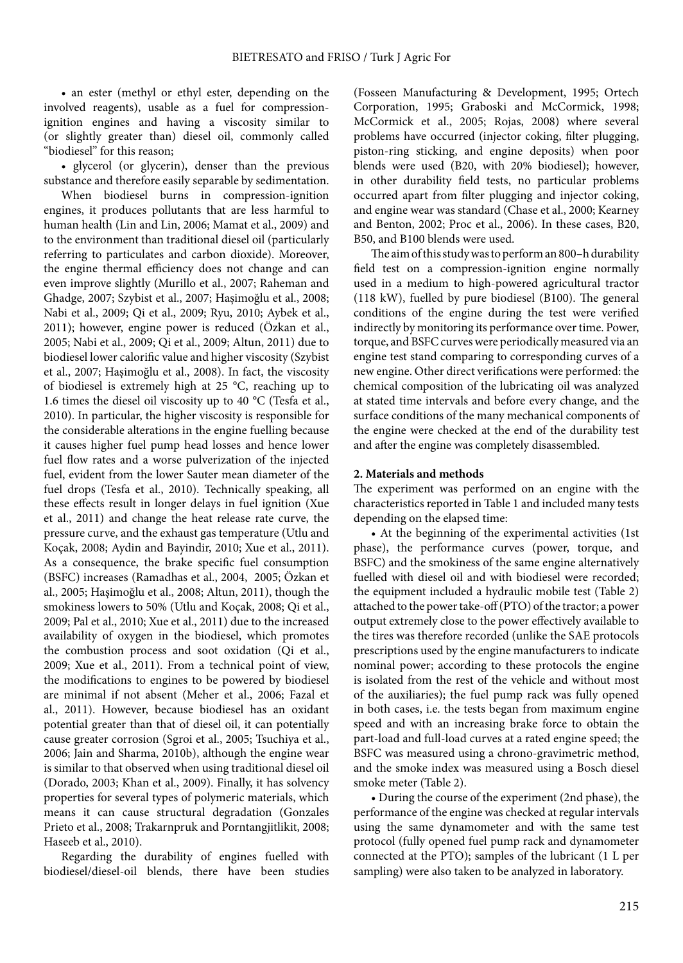• an ester (methyl or ethyl ester, depending on the involved reagents), usable as a fuel for compressionignition engines and having a viscosity similar to (or slightly greater than) diesel oil, commonly called "biodiesel" for this reason;

• glycerol (or glycerin), denser than the previous substance and therefore easily separable by sedimentation.

When biodiesel burns in compression-ignition engines, it produces pollutants that are less harmful to human health (Lin and Lin, 2006; Mamat et al., 2009) and to the environment than traditional diesel oil (particularly referring to particulates and carbon dioxide). Moreover, the engine thermal efficiency does not change and can even improve slightly (Murillo et al., 2007; Raheman and Ghadge, 2007; Szybist et al., 2007; Haşimoğlu et al., 2008; Nabi et al., 2009; Qi et al., 2009; Ryu, 2010; Aybek et al., 2011); however, engine power is reduced (Özkan et al., 2005; Nabi et al., 2009; Qi et al., 2009; Altun, 2011) due to biodiesel lower calorific value and higher viscosity (Szybist et al., 2007; Haşimoğlu et al., 2008). In fact, the viscosity of biodiesel is extremely high at 25 °C, reaching up to 1.6 times the diesel oil viscosity up to 40 °C (Tesfa et al., 2010). In particular, the higher viscosity is responsible for the considerable alterations in the engine fuelling because it causes higher fuel pump head losses and hence lower fuel flow rates and a worse pulverization of the injected fuel, evident from the lower Sauter mean diameter of the fuel drops (Tesfa et al., 2010). Technically speaking, all these effects result in longer delays in fuel ignition (Xue et al., 2011) and change the heat release rate curve, the pressure curve, and the exhaust gas temperature (Utlu and Koçak, 2008; Aydin and Bayindir, 2010; Xue et al., 2011). As a consequence, the brake specific fuel consumption (BSFC) increases (Ramadhas et al., 2004, 2005; Özkan et al., 2005; Haşimoğlu et al., 2008; Altun, 2011), though the smokiness lowers to 50% (Utlu and Koçak, 2008; Qi et al., 2009; Pal et al., 2010; Xue et al., 2011) due to the increased availability of oxygen in the biodiesel, which promotes the combustion process and soot oxidation (Qi et al., 2009; Xue et al., 2011). From a technical point of view, the modifications to engines to be powered by biodiesel are minimal if not absent (Meher et al., 2006; Fazal et al., 2011). However, because biodiesel has an oxidant potential greater than that of diesel oil, it can potentially cause greater corrosion (Sgroi et al., 2005; Tsuchiya et al., 2006; Jain and Sharma, 2010b), although the engine wear is similar to that observed when using traditional diesel oil (Dorado, 2003; Khan et al., 2009). Finally, it has solvency properties for several types of polymeric materials, which means it can cause structural degradation (Gonzales Prieto et al., 2008; Trakarnpruk and Porntangjitlikit, 2008; Haseeb et al., 2010).

Regarding the durability of engines fuelled with biodiesel/diesel-oil blends, there have been studies

(Fosseen Manufacturing & Development, 1995; Ortech Corporation, 1995; Graboski and McCormick, 1998; McCormick et al., 2005; Rojas, 2008) where several problems have occurred (injector coking, filter plugging, piston-ring sticking, and engine deposits) when poor blends were used (B20, with 20% biodiesel); however, in other durability field tests, no particular problems occurred apart from filter plugging and injector coking, and engine wear was standard (Chase et al., 2000; Kearney and Benton, 2002; Proc et al., 2006). In these cases, B20, B50, and B100 blends were used.

The aim of this study was to perform an 800–h durability field test on a compression-ignition engine normally used in a medium to high-powered agricultural tractor (118 kW), fuelled by pure biodiesel (B100). The general conditions of the engine during the test were verified indirectly by monitoring its performance over time. Power, torque, and BSFC curves were periodically measured via an engine test stand comparing to corresponding curves of a new engine. Other direct verifications were performed: the chemical composition of the lubricating oil was analyzed at stated time intervals and before every change, and the surface conditions of the many mechanical components of the engine were checked at the end of the durability test and after the engine was completely disassembled.

### **2. Materials and methods**

The experiment was performed on an engine with the characteristics reported in Table 1 and included many tests depending on the elapsed time:

• At the beginning of the experimental activities (1st phase), the performance curves (power, torque, and BSFC) and the smokiness of the same engine alternatively fuelled with diesel oil and with biodiesel were recorded; the equipment included a hydraulic mobile test (Table 2) attached to the power take-off (PTO) of the tractor; a power output extremely close to the power effectively available to the tires was therefore recorded (unlike the SAE protocols prescriptions used by the engine manufacturers to indicate nominal power; according to these protocols the engine is isolated from the rest of the vehicle and without most of the auxiliaries); the fuel pump rack was fully opened in both cases, i.e. the tests began from maximum engine speed and with an increasing brake force to obtain the part-load and full-load curves at a rated engine speed; the BSFC was measured using a chrono-gravimetric method, and the smoke index was measured using a Bosch diesel smoke meter (Table 2).

• During the course of the experiment (2nd phase), the performance of the engine was checked at regular intervals using the same dynamometer and with the same test protocol (fully opened fuel pump rack and dynamometer connected at the PTO); samples of the lubricant (1 L per sampling) were also taken to be analyzed in laboratory.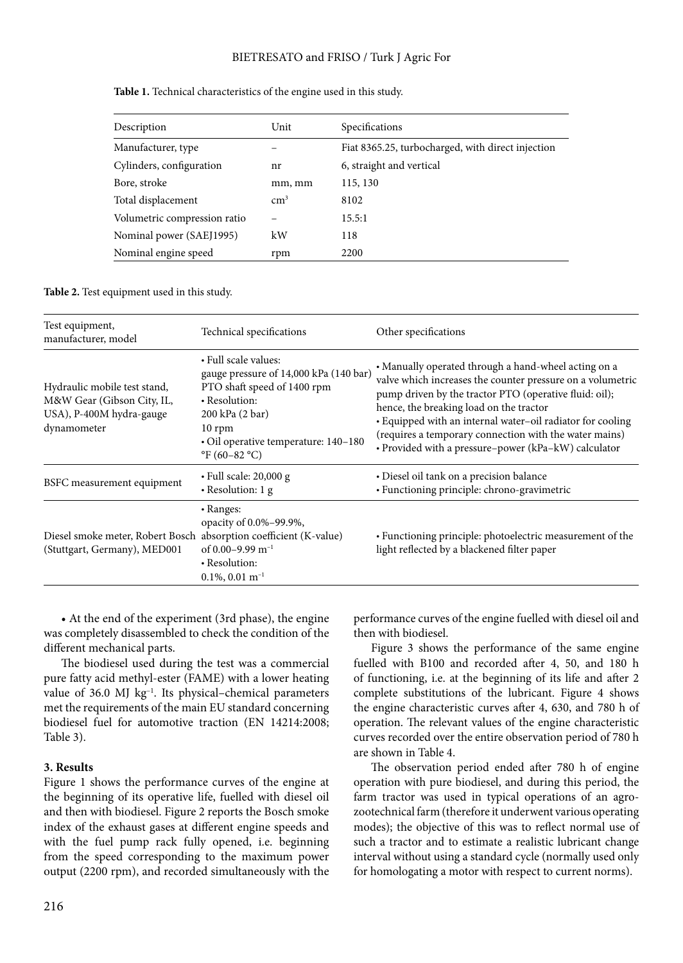### BIETRESATO and FRISO / Turk J Agric For

| Description                  | Unit       | Specifications                                    |
|------------------------------|------------|---------------------------------------------------|
| Manufacturer, type           |            | Fiat 8365.25, turbocharged, with direct injection |
| Cylinders, configuration     | nr         | 6, straight and vertical                          |
| Bore, stroke                 | mm, mm     | 115, 130                                          |
| Total displacement           | $\rm cm^3$ | 8102                                              |
| Volumetric compression ratio |            | 15.5:1                                            |
| Nominal power (SAEJ1995)     | kW         | 118                                               |
| Nominal engine speed         | rpm        | 2200                                              |

#### Table 1. Technical characteristics of the engine used in this study.

#### **Table 2.** Test equipment used in this study.

| Test equipment,<br>manufacturer, model                                                                | Technical specifications                                                                                                                                                                                                                    | Other specifications                                                                                                                                                                                                                                                                                                                                                                                    |
|-------------------------------------------------------------------------------------------------------|---------------------------------------------------------------------------------------------------------------------------------------------------------------------------------------------------------------------------------------------|---------------------------------------------------------------------------------------------------------------------------------------------------------------------------------------------------------------------------------------------------------------------------------------------------------------------------------------------------------------------------------------------------------|
| Hydraulic mobile test stand,<br>M&W Gear (Gibson City, IL,<br>USA), P-400M hydra-gauge<br>dynamometer | • Full scale values:<br>gauge pressure of 14,000 kPa (140 bar)<br>PTO shaft speed of 1400 rpm<br>• Resolution:<br>200 kPa (2 bar)<br>$10$ rpm<br>• Oil operative temperature: 140–180<br>$\mathrm{^{\circ}F}$ (60–82 $\mathrm{^{\circ}C}$ ) | • Manually operated through a hand-wheel acting on a<br>valve which increases the counter pressure on a volumetric<br>pump driven by the tractor PTO (operative fluid: oil);<br>hence, the breaking load on the tractor<br>• Equipped with an internal water-oil radiator for cooling<br>(requires a temporary connection with the water mains)<br>• Provided with a pressure-power (kPa-kW) calculator |
| BSFC measurement equipment                                                                            | $\cdot$ Full scale: 20,000 g<br>$\cdot$ Resolution: 1 g                                                                                                                                                                                     | • Diesel oil tank on a precision balance<br>· Functioning principle: chrono-gravimetric                                                                                                                                                                                                                                                                                                                 |
| Diesel smoke meter, Robert Bosch absorption coefficient (K-value)<br>(Stuttgart, Germany), MED001     | • Ranges:<br>opacity of 0.0%-99.9%,<br>of 0.00–9.99 $m^{-1}$<br>• Resolution:<br>$0.1\%, 0.01 \; \mathrm{m}^{-1}$                                                                                                                           | • Functioning principle: photoelectric measurement of the<br>light reflected by a blackened filter paper                                                                                                                                                                                                                                                                                                |

• At the end of the experiment (3rd phase), the engine was completely disassembled to check the condition of the different mechanical parts.

The biodiesel used during the test was a commercial pure fatty acid methyl-ester (FAME) with a lower heating value of 36.0 MJ kg–1. Its physical–chemical parameters met the requirements of the main EU standard concerning biodiesel fuel for automotive traction (EN 14214:2008; Table 3).

### **3. Results**

Figure 1 shows the performance curves of the engine at the beginning of its operative life, fuelled with diesel oil and then with biodiesel. Figure 2 reports the Bosch smoke index of the exhaust gases at different engine speeds and with the fuel pump rack fully opened, i.e. beginning from the speed corresponding to the maximum power output (2200 rpm), and recorded simultaneously with the

performance curves of the engine fuelled with diesel oil and then with biodiesel.

Figure 3 shows the performance of the same engine fuelled with B100 and recorded after 4, 50, and 180 h of functioning, i.e. at the beginning of its life and after 2 complete substitutions of the lubricant. Figure 4 shows the engine characteristic curves after 4, 630, and 780 h of operation. The relevant values of the engine characteristic curves recorded over the entire observation period of 780 h are shown in Table 4.

The observation period ended after 780 h of engine operation with pure biodiesel, and during this period, the farm tractor was used in typical operations of an agrozootechnical farm (therefore it underwent various operating modes); the objective of this was to reflect normal use of such a tractor and to estimate a realistic lubricant change interval without using a standard cycle (normally used only for homologating a motor with respect to current norms).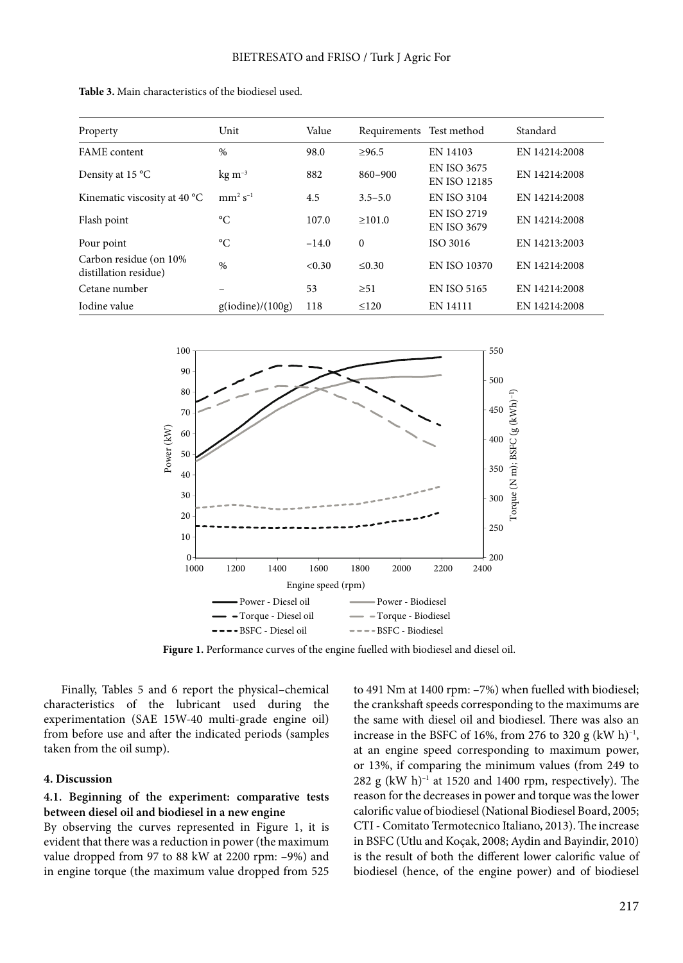| Property                                        | Unit               | Value   | Requirements Test method |                                           | Standard      |
|-------------------------------------------------|--------------------|---------|--------------------------|-------------------------------------------|---------------|
| FAME content                                    | $\%$               | 98.0    | >96.5                    | EN 14103                                  | EN 14214:2008 |
| Density at 15 °C                                | $\text{kg m}^{-3}$ | 882     | 860-900                  | <b>EN ISO 3675</b><br><b>EN ISO 12185</b> | EN 14214:2008 |
| Kinematic viscosity at 40 °C                    | $mm^2 s^{-1}$      | 4.5     | $3.5 - 5.0$              | <b>EN ISO 3104</b>                        | EN 14214:2008 |
| Flash point                                     | °C                 | 107.0   | $\geq 101.0$             | <b>EN ISO 2719</b><br><b>EN ISO 3679</b>  | EN 14214:2008 |
| Pour point                                      | $\rm ^{\circ}C$    | $-14.0$ | $\Omega$                 | ISO 3016                                  | EN 14213:2003 |
| Carbon residue (on 10%<br>distillation residue) | $\%$               | < 0.30  | $\leq 0.30$              | EN ISO 10370                              | EN 14214:2008 |
| Cetane number                                   |                    | 53      | $\geq 51$                | <b>EN ISO 5165</b>                        | EN 14214:2008 |
| Iodine value                                    | g(iodine)/(100g)   | 118     | $\leq 120$               | EN 14111                                  | EN 14214:2008 |

**Table 3.** Main characteristics of the biodiesel used.



**Figure 1.** Performance curves of the engine fuelled with biodiesel and diesel oil.

Finally, Tables 5 and 6 report the physical–chemical characteristics of the lubricant used during the experimentation (SAE 15W-40 multi-grade engine oil) from before use and after the indicated periods (samples taken from the oil sump).

### **4. Discussion**

# **4.1. Beginning of the experiment: comparative tests between diesel oil and biodiesel in a new engine**

By observing the curves represented in Figure 1, it is evident that there was a reduction in power (the maximum value dropped from 97 to 88 kW at 2200 rpm: –9%) and in engine torque (the maximum value dropped from 525 to 491 Nm at 1400 rpm: –7%) when fuelled with biodiesel; the crankshaft speeds corresponding to the maximums are the same with diesel oil and biodiesel. There was also an increase in the BSFC of 16%, from 276 to 320 g (kW h) $^{-1}$ , at an engine speed corresponding to maximum power, or 13%, if comparing the minimum values (from 249 to 282 g (kW h) $^{-1}$  at 1520 and 1400 rpm, respectively). The reason for the decreases in power and torque was the lower calorific value of biodiesel (National Biodiesel Board, 2005; CTI - Comitato Termotecnico Italiano, 2013). The increase in BSFC (Utlu and Koçak, 2008; Aydin and Bayindir, 2010) is the result of both the different lower calorific value of biodiesel (hence, of the engine power) and of biodiesel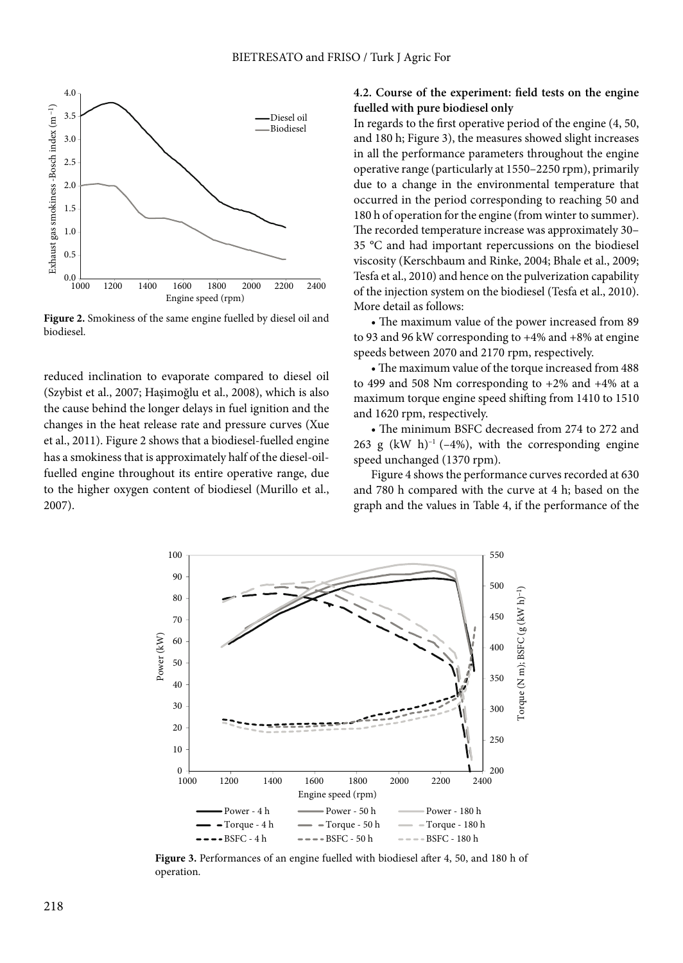

**Figure 2.** Smokiness of the same engine fuelled by diesel oil and biodiesel.

reduced inclination to evaporate compared to diesel oil (Szybist et al., 2007; Haşimoğlu et al., 2008), which is also the cause behind the longer delays in fuel ignition and the changes in the heat release rate and pressure curves (Xue et al., 2011). Figure 2 shows that a biodiesel-fuelled engine has a smokiness that is approximately half of the diesel-oilfuelled engine throughout its entire operative range, due to the higher oxygen content of biodiesel (Murillo et al., 2007).

# **4.2. Course of the experiment: field tests on the engine fuelled with pure biodiesel only**

In regards to the first operative period of the engine (4, 50, and 180 h; Figure 3), the measures showed slight increases in all the performance parameters throughout the engine operative range (particularly at 1550–2250 rpm), primarily due to a change in the environmental temperature that occurred in the period corresponding to reaching 50 and 180 h of operation for the engine (from winter to summer). The recorded temperature increase was approximately 30– 35 °C and had important repercussions on the biodiesel viscosity (Kerschbaum and Rinke, 2004; Bhale et al., 2009; Tesfa et al., 2010) and hence on the pulverization capability of the injection system on the biodiesel (Tesfa et al., 2010). More detail as follows:

• The maximum value of the power increased from 89 to 93 and 96 kW corresponding to +4% and +8% at engine speeds between 2070 and 2170 rpm, respectively.

• The maximum value of the torque increased from 488 to 499 and 508 Nm corresponding to +2% and +4% at a maximum torque engine speed shifting from 1410 to 1510 and 1620 rpm, respectively.

• The minimum BSFC decreased from 274 to 272 and 263 g (kW h)<sup>-1</sup> (-4%), with the corresponding engine speed unchanged (1370 rpm).

Figure 4 shows the performance curves recorded at 630 and 780 h compared with the curve at 4 h; based on the graph and the values in Table 4, if the performance of the



**Figure 3.** Performances of an engine fuelled with biodiesel after 4, 50, and 180 h of operation.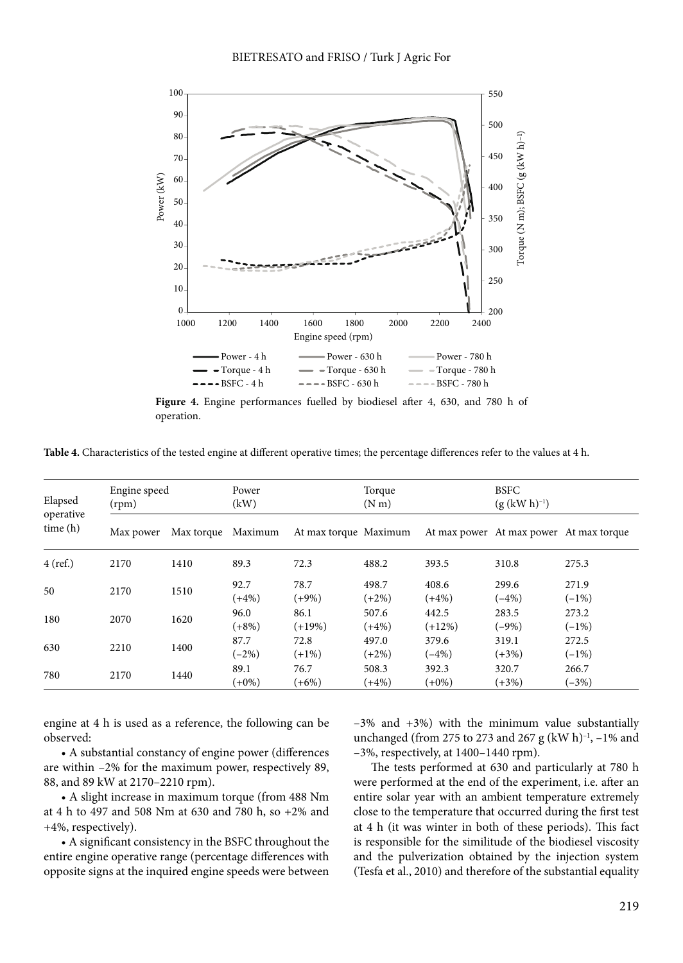

**Figure 4.** Engine performances fuelled by biodiesel after 4, 630, and 780 h of operation.

**Table 4.** Characteristics of the tested engine at different operative times; the percentage differences refer to the values at 4 h.

| Elapsed<br>operative<br>time(h) | Engine speed<br>(rpm) |            | Power<br>(kW)    |                       | Torque<br>(N <sub>m</sub> ) |                   | <b>BSFC</b><br>$(g (kW h)^{-1})$        |                  |
|---------------------------------|-----------------------|------------|------------------|-----------------------|-----------------------------|-------------------|-----------------------------------------|------------------|
|                                 | Max power             | Max torque | Maximum          | At max torque Maximum |                             |                   | At max power At max power At max torque |                  |
| $4$ (ref.)                      | 2170                  | 1410       | 89.3             | 72.3                  | 488.2                       | 393.5             | 310.8                                   | 275.3            |
| 50                              | 2170                  | 1510       | 92.7<br>$(+4%)$  | 78.7<br>$(+9%)$       | 498.7<br>$(+2%)$            | 408.6<br>$(+4%)$  | 299.6<br>$(-4%)$                        | 271.9<br>$(-1%)$ |
| 180                             | 2070                  | 1620       | 96.0<br>$(+8%)$  | 86.1<br>$(+19%)$      | 507.6<br>$(+4%)$            | 442.5<br>$(+12%)$ | 283.5<br>$(-9%)$                        | 273.2<br>$(-1%)$ |
| 630                             | 2210                  | 1400       | 87.7<br>$(-2%)$  | 72.8<br>$(+1%)$       | 497.0<br>$(+2%)$            | 379.6<br>$(-4%)$  | 319.1<br>$(+3%)$                        | 272.5<br>$(-1%)$ |
| 780                             | 2170                  | 1440       | 89.1<br>$(+0\%)$ | 76.7<br>$(+6%)$       | 508.3<br>$(+4%)$            | 392.3<br>$(+0\%)$ | 320.7<br>$(+3%)$                        | 266.7<br>$(-3%)$ |

engine at 4 h is used as a reference, the following can be observed:

• A substantial constancy of engine power (differences are within –2% for the maximum power, respectively 89, 88, and 89 kW at 2170–2210 rpm).

• A slight increase in maximum torque (from 488 Nm at 4 h to 497 and 508 Nm at 630 and 780 h, so +2% and +4%, respectively).

• A significant consistency in the BSFC throughout the entire engine operative range (percentage differences with opposite signs at the inquired engine speeds were between

 $-3\%$  and  $+3\%$ ) with the minimum value substantially unchanged (from 275 to 273 and 267 g (kW h) $^{-1}$ ,  $-1\%$  and –3%, respectively, at 1400–1440 rpm).

The tests performed at 630 and particularly at 780 h were performed at the end of the experiment, i.e. after an entire solar year with an ambient temperature extremely close to the temperature that occurred during the first test at 4 h (it was winter in both of these periods). This fact is responsible for the similitude of the biodiesel viscosity and the pulverization obtained by the injection system (Tesfa et al., 2010) and therefore of the substantial equality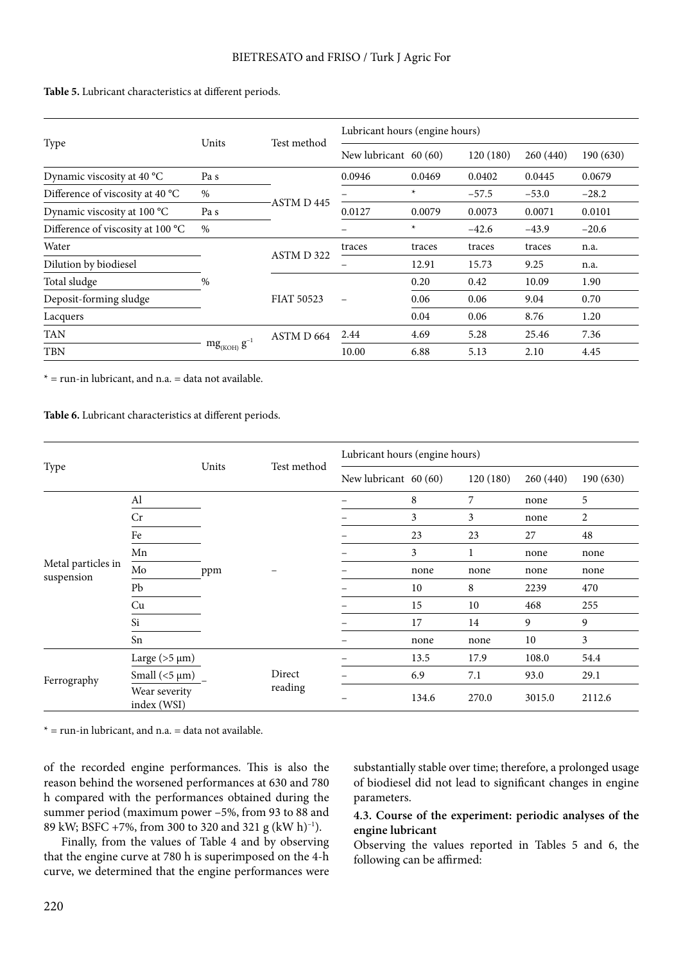| Type                              | Units              | Test method           | Lubricant hours (engine hours) |        |          |          |           |  |
|-----------------------------------|--------------------|-----------------------|--------------------------------|--------|----------|----------|-----------|--|
|                                   |                    |                       | New lubricant 60 (60)          |        | 120(180) | 260(440) | 190 (630) |  |
| Dynamic viscosity at 40 °C        | Pa s               |                       | 0.0946                         | 0.0469 | 0.0402   | 0.0445   | 0.0679    |  |
| Difference of viscosity at 40 °C  | $\%$               |                       |                                | *      | $-57.5$  | $-53.0$  | $-28.2$   |  |
| Dynamic viscosity at 100 °C       | Pa s               | ASTM D445             | 0.0127                         | 0.0079 | 0.0073   | 0.0071   | 0.0101    |  |
| Difference of viscosity at 100 °C | $\%$               |                       |                                | $\ast$ | $-42.6$  | $-43.9$  | $-20.6$   |  |
| Water                             |                    | ASTM D 322            | traces                         | traces | traces   | traces   | n.a.      |  |
| Dilution by biodiesel             |                    |                       |                                | 12.91  | 15.73    | 9.25     | n.a.      |  |
| Total sludge                      | $\frac{0}{0}$      | <b>FIAT 50523</b>     |                                | 0.20   | 0.42     | 10.09    | 1.90      |  |
| Deposit-forming sludge            |                    |                       |                                | 0.06   | 0.06     | 9.04     | 0.70      |  |
| Lacquers                          |                    |                       |                                | 0.04   | 0.06     | 8.76     | 1.20      |  |
| <b>TAN</b>                        |                    | ASTM D <sub>664</sub> | 2.44                           | 4.69   | 5.28     | 25.46    | 7.36      |  |
| <b>TBN</b>                        | $mg_{(KOH)}g^{-1}$ |                       | 10.00                          | 6.88   | 5.13     | 2.10     | 4.45      |  |

**Table 5.** Lubricant characteristics at different periods.

 $* =$  run-in lubricant, and n.a.  $=$  data not available.

**Table 6.** Lubricant characteristics at different periods.

|                                  |                              |         | Test method | Lubricant hours (engine hours) |       |          |          |           |  |
|----------------------------------|------------------------------|---------|-------------|--------------------------------|-------|----------|----------|-----------|--|
| Type                             |                              | Units   |             | New lubricant 60 (60)          |       | 120(180) | 260(440) | 190 (630) |  |
|                                  | Al                           |         |             |                                | 8     | 7        | none     | 5         |  |
|                                  | Cr                           |         |             |                                | 3     | 3        | none     | 2         |  |
|                                  | Fe                           |         |             |                                | 23    | 23       | 27       | 48        |  |
|                                  | Mn                           |         |             |                                | 3     | 1        | none     | none      |  |
| Metal particles in<br>suspension | $\rm Mo$                     | ppm     |             |                                | none  | none     | none     | none      |  |
|                                  | Pb                           |         |             |                                | 10    | 8        | 2239     | 470       |  |
|                                  | Cu                           |         |             |                                | 15    | 10       | 468      | 255       |  |
|                                  | Si                           |         |             |                                | 17    | 14       | 9        | 9         |  |
|                                  | Sn                           |         |             |                                | none  | none     | 10       | 3         |  |
|                                  | Large ( $>5 \mu m$ )         |         | Direct      |                                | 13.5  | 17.9     | 108.0    | 54.4      |  |
| Ferrography                      | Small $(<5 \mu m)$           |         |             |                                | 6.9   | 7.1      | 93.0     | 29.1      |  |
|                                  | Wear severity<br>index (WSI) | reading |             | 134.6                          | 270.0 | 3015.0   | 2112.6   |           |  |

 $* =$  run-in lubricant, and n.a.  $=$  data not available.

of the recorded engine performances. This is also the reason behind the worsened performances at 630 and 780 h compared with the performances obtained during the summer period (maximum power –5%, from 93 to 88 and 89 kW; BSFC +7%, from 300 to 320 and 321 g (kW h)<sup>-1</sup>).

Finally, from the values of Table 4 and by observing that the engine curve at 780 h is superimposed on the 4-h curve, we determined that the engine performances were substantially stable over time; therefore, a prolonged usage of biodiesel did not lead to significant changes in engine parameters.

# **4.3. Course of the experiment: periodic analyses of the engine lubricant**

Observing the values reported in Tables 5 and 6, the following can be affirmed: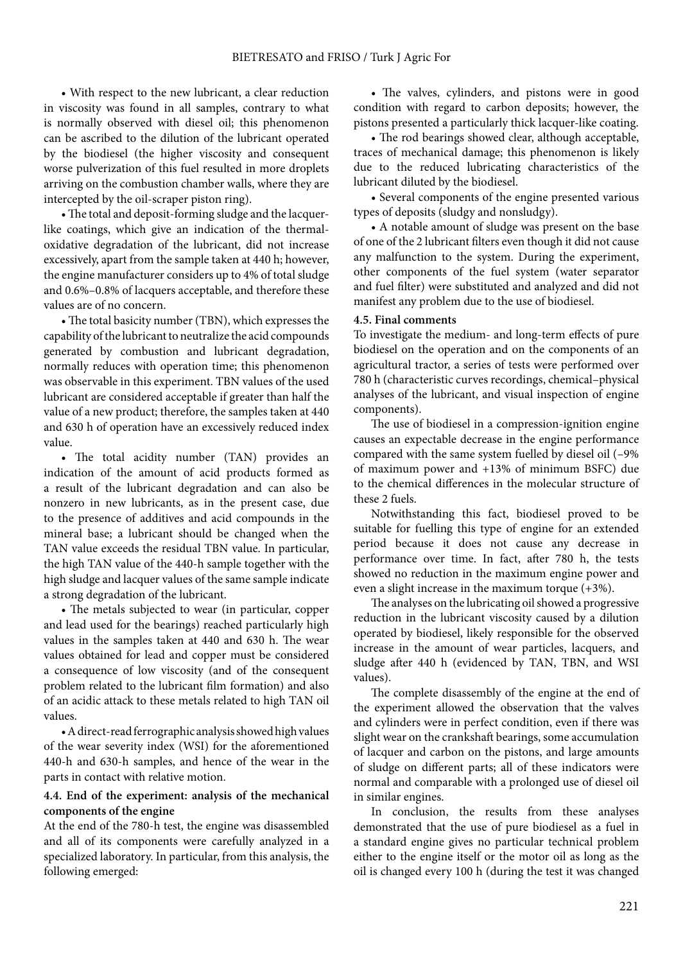• With respect to the new lubricant, a clear reduction in viscosity was found in all samples, contrary to what is normally observed with diesel oil; this phenomenon can be ascribed to the dilution of the lubricant operated by the biodiesel (the higher viscosity and consequent worse pulverization of this fuel resulted in more droplets arriving on the combustion chamber walls, where they are intercepted by the oil-scraper piston ring).

• The total and deposit-forming sludge and the lacquerlike coatings, which give an indication of the thermaloxidative degradation of the lubricant, did not increase excessively, apart from the sample taken at 440 h; however, the engine manufacturer considers up to 4% of total sludge and 0.6%–0.8% of lacquers acceptable, and therefore these values are of no concern.

• The total basicity number (TBN), which expresses the capability of the lubricant to neutralize the acid compounds generated by combustion and lubricant degradation, normally reduces with operation time; this phenomenon was observable in this experiment. TBN values of the used lubricant are considered acceptable if greater than half the value of a new product; therefore, the samples taken at 440 and 630 h of operation have an excessively reduced index value.

• The total acidity number (TAN) provides an indication of the amount of acid products formed as a result of the lubricant degradation and can also be nonzero in new lubricants, as in the present case, due to the presence of additives and acid compounds in the mineral base; a lubricant should be changed when the TAN value exceeds the residual TBN value. In particular, the high TAN value of the 440-h sample together with the high sludge and lacquer values of the same sample indicate a strong degradation of the lubricant.

• The metals subjected to wear (in particular, copper and lead used for the bearings) reached particularly high values in the samples taken at 440 and 630 h. The wear values obtained for lead and copper must be considered a consequence of low viscosity (and of the consequent problem related to the lubricant film formation) and also of an acidic attack to these metals related to high TAN oil values.

• A direct-read ferrographic analysis showed high values of the wear severity index (WSI) for the aforementioned 440-h and 630-h samples, and hence of the wear in the parts in contact with relative motion.

# **4.4. End of the experiment: analysis of the mechanical components of the engine**

At the end of the 780-h test, the engine was disassembled and all of its components were carefully analyzed in a specialized laboratory. In particular, from this analysis, the following emerged:

• The valves, cylinders, and pistons were in good condition with regard to carbon deposits; however, the pistons presented a particularly thick lacquer-like coating.

• The rod bearings showed clear, although acceptable, traces of mechanical damage; this phenomenon is likely due to the reduced lubricating characteristics of the lubricant diluted by the biodiesel.

• Several components of the engine presented various types of deposits (sludgy and nonsludgy).

• A notable amount of sludge was present on the base of one of the 2 lubricant filters even though it did not cause any malfunction to the system. During the experiment, other components of the fuel system (water separator and fuel filter) were substituted and analyzed and did not manifest any problem due to the use of biodiesel.

# **4.5. Final comments**

To investigate the medium- and long-term effects of pure biodiesel on the operation and on the components of an agricultural tractor, a series of tests were performed over 780 h (characteristic curves recordings, chemical–physical analyses of the lubricant, and visual inspection of engine components).

The use of biodiesel in a compression-ignition engine causes an expectable decrease in the engine performance compared with the same system fuelled by diesel oil (–9% of maximum power and +13% of minimum BSFC) due to the chemical differences in the molecular structure of these 2 fuels.

Notwithstanding this fact, biodiesel proved to be suitable for fuelling this type of engine for an extended period because it does not cause any decrease in performance over time. In fact, after 780 h, the tests showed no reduction in the maximum engine power and even a slight increase in the maximum torque (+3%).

The analyses on the lubricating oil showed a progressive reduction in the lubricant viscosity caused by a dilution operated by biodiesel, likely responsible for the observed increase in the amount of wear particles, lacquers, and sludge after 440 h (evidenced by TAN, TBN, and WSI values).

The complete disassembly of the engine at the end of the experiment allowed the observation that the valves and cylinders were in perfect condition, even if there was slight wear on the crankshaft bearings, some accumulation of lacquer and carbon on the pistons, and large amounts of sludge on different parts; all of these indicators were normal and comparable with a prolonged use of diesel oil in similar engines.

In conclusion, the results from these analyses demonstrated that the use of pure biodiesel as a fuel in a standard engine gives no particular technical problem either to the engine itself or the motor oil as long as the oil is changed every 100 h (during the test it was changed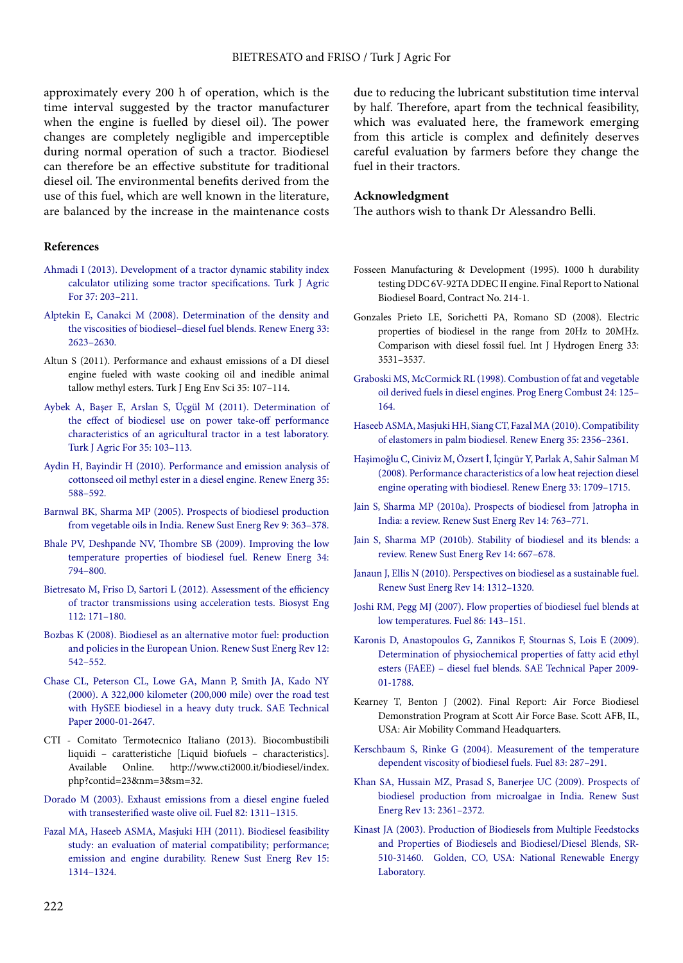approximately every 200 h of operation, which is the time interval suggested by the tractor manufacturer when the engine is fuelled by diesel oil). The power changes are completely negligible and imperceptible during normal operation of such a tractor. Biodiesel can therefore be an effective substitute for traditional diesel oil. The environmental benefits derived from the use of this fuel, which are well known in the literature, are balanced by the increase in the maintenance costs

#### **References**

- [Ahmadi I \(2013\). Development of a tractor dynamic stability index](journals.tubitak.gov.tr/agriculture/issues/tar-13-37-2/tar-37-2-10-1103-19.pdf) [calculator utilizing some tractor specifications. Turk J Agric](journals.tubitak.gov.tr/agriculture/issues/tar-13-37-2/tar-37-2-10-1103-19.pdf) [For 37: 203–211.](journals.tubitak.gov.tr/agriculture/issues/tar-13-37-2/tar-37-2-10-1103-19.pdf)
- [Alptekin E, Canakci M \(2008\). Determination of the density and](http://dx.doi.org/10.1016/j.renene.2008.02.020) [the viscosities of biodiesel–diesel fuel blends. Renew Energ 33:](http://dx.doi.org/10.1016/j.renene.2008.02.020) [2623–2630.](http://dx.doi.org/10.1016/j.renene.2008.02.020)
- Altun S (2011). Performance and exhaust emissions of a DI diesel engine fueled with waste cooking oil and inedible animal tallow methyl esters. Turk J Eng Env Sci 35: 107–114.
- [Aybek A, Başer E, Arslan S, Üçgül M \(2011\). Determination of](journals.tubitak.gov.tr/agriculture/issues/tar-11-35-2/tar-35-2-1-0907-242.pdf) [the effect of biodiesel use on power take-off performance](journals.tubitak.gov.tr/agriculture/issues/tar-11-35-2/tar-35-2-1-0907-242.pdf) [characteristics of an agricultural tractor in a test laboratory.](journals.tubitak.gov.tr/agriculture/issues/tar-11-35-2/tar-35-2-1-0907-242.pdf) [Turk J Agric For 35: 103–113.](journals.tubitak.gov.tr/agriculture/issues/tar-11-35-2/tar-35-2-1-0907-242.pdf)
- [Aydin H, Bayindir H \(2010\). Performance and emission analysis of](http://dx.doi.org/10.1016/j.renene.2009.08.009) [cottonseed oil methyl ester in a diesel engine. Renew Energ 35:](http://dx.doi.org/10.1016/j.renene.2009.08.009) [588–592.](http://dx.doi.org/10.1016/j.renene.2009.08.009)
- [Barnwal BK, Sharma MP \(2005\). Prospects of biodiesel production](http://dx.doi.org/10.1016/j.rser.2004.05.007) [from vegetable oils in India. Renew Sust Energ Rev 9: 363–378.](http://dx.doi.org/10.1016/j.rser.2004.05.007)
- [Bhale PV, Deshpande NV, Thombre SB \(2009\). Improving the low](http://dx.doi.org/10.1016/j.renene.2008.04.037) [temperature properties of biodiesel fuel. Renew Energ 34:](http://dx.doi.org/10.1016/j.renene.2008.04.037) [794–800.](http://dx.doi.org/10.1016/j.renene.2008.04.037)
- [Bietresato M, Friso D, Sartori L \(2012\). Assessment of the efficiency](http://dx.doi.org/10.1016/j.biosystemseng.2012.03.009) [of tractor transmissions using acceleration tests. Biosyst Eng](http://dx.doi.org/10.1016/j.biosystemseng.2012.03.009) [112: 171–180.](http://dx.doi.org/10.1016/j.biosystemseng.2012.03.009)
- [Bozbas K \(2008\). Biodiesel as an alternative motor fuel: production](http://dx.doi.org/10.1016/j.rser.2005.06.001) [and policies in the European Union. Renew Sust Energ Rev 12:](http://dx.doi.org/10.1016/j.rser.2005.06.001) [542–552.](http://dx.doi.org/10.1016/j.rser.2005.06.001)
- [Chase CL, Peterson CL, Lowe GA, Mann P, Smith JA, Kado NY](http://dx.doi.org/10.4271/2000-01-2647) [\(2000\). A 322,000 kilometer \(200,000 mile\) over the road test](http://dx.doi.org/10.4271/2000-01-2647) [with HySEE biodiesel in a heavy duty truck. SAE Technical](http://dx.doi.org/10.4271/2000-01-2647) [Paper 2000-01-2647.](http://dx.doi.org/10.4271/2000-01-2647)
- CTI Comitato Termotecnico Italiano (2013). Biocombustibili liquidi – caratteristiche [Liquid biofuels – characteristics]. Available Online. http://www.cti2000.it/biodiesel/index. php?contid=23&nm=3&sm=32.
- [Dorado M \(2003\). Exhaust emissions from a diesel engine fueled](http://dx.doi.org/10.1016/S0016-2361(03)00034-6) [with transesterified waste olive oil. Fuel 82: 1311–1315.](http://dx.doi.org/10.1016/S0016-2361(03)00034-6)
- [Fazal MA, Haseeb ASMA, Masjuki HH \(2011\). Biodiesel feasibility](http://dx.doi.org/10.1016/j.rser.2010.10.004) [study: an evaluation of material compatibility; performance;](http://dx.doi.org/10.1016/j.rser.2010.10.004) [emission and engine durability. Renew Sust Energ Rev 15:](http://dx.doi.org/10.1016/j.rser.2010.10.004) [1314–1324.](http://dx.doi.org/10.1016/j.rser.2010.10.004)

due to reducing the lubricant substitution time interval by half. Therefore, apart from the technical feasibility, which was evaluated here, the framework emerging from this article is complex and definitely deserves careful evaluation by farmers before they change the fuel in their tractors.

#### **Acknowledgment**

The authors wish to thank Dr Alessandro Belli.

- Fosseen Manufacturing & Development (1995). 1000 h durability testing DDC 6V-92TA DDEC II engine. Final Report to National Biodiesel Board, Contract No. 214-1.
- Gonzales Prieto LE, Sorichetti PA, Romano SD (2008). Electric properties of biodiesel in the range from 20Hz to 20MHz. Comparison with diesel fossil fuel. Int J Hydrogen Energ 33: 3531–3537.
- [Graboski MS, McCormick RL \(1998\). Combustion of fat and vegetable](http://dx.doi.org/10.1016/S0360-1285(97)00034-8) [oil derived fuels in diesel engines. Prog Energ Combust 24: 125–](http://dx.doi.org/10.1016/S0360-1285(97)00034-8) [164.](http://dx.doi.org/10.1016/S0360-1285(97)00034-8)
- [Haseeb ASMA, Masjuki HH, Siang CT, Fazal MA \(2010\). Compatibility](http://dx.doi.org/10.1016/j.renene.2010.03.011) [of elastomers in palm biodiesel. Renew Energ 35: 2356–2361.](http://dx.doi.org/10.1016/j.renene.2010.03.011)
- [Haşimoğlu C, Ciniviz M, Özsert İ, İçingür Y, Parlak A, Sahir Salman M](http://dx.doi.org/10.1016/j.renene.2007.08.002) [\(2008\). Performance characteristics of a low heat rejection diesel](http://dx.doi.org/10.1016/j.renene.2007.08.002) [engine operating with biodiesel. Renew Energ 33: 1709–1715.](http://dx.doi.org/10.1016/j.renene.2007.08.002)
- [Jain S, Sharma MP \(2010a\). Prospects of biodiesel from Jatropha in](http://dx.doi.org/10.1016/j.rser.2009.10.005) [India: a review. Renew Sust Energ Rev 14: 763–771.](http://dx.doi.org/10.1016/j.rser.2009.10.005)
- [Jain S, Sharma MP \(2010b\). Stability of biodiesel and its blends: a](http://dx.doi.org/10.1016/j.rser.2009.10.011) [review. Renew Sust Energ Rev 14: 667–678.](http://dx.doi.org/10.1016/j.rser.2009.10.011)
- [Janaun J, Ellis N \(2010\). Perspectives on biodiesel as a sustainable fuel.](http://dx.doi.org/10.1016/j.rser.2009.12.011) [Renew Sust Energ Rev 14: 1312–1320.](http://dx.doi.org/10.1016/j.rser.2009.12.011)
- [Joshi RM, Pegg MJ \(2007\). Flow properties of biodiesel fuel blends at](http://dx.doi.org/10.1016/j.fuel.2006.06.005) [low temperatures. Fuel 86: 143–151.](http://dx.doi.org/10.1016/j.fuel.2006.06.005)
- [Karonis D, Anastopoulos G, Zannikos F, Stournas S, Lois E \(2009\).](http://dx.doi.org/10.4271/2009-01-1788) [Determination of physiochemical properties of fatty acid ethyl](http://dx.doi.org/10.4271/2009-01-1788) [esters \(FAEE\) – diesel fuel blends. SAE Technical Paper 2009-](http://dx.doi.org/10.4271/2009-01-1788) [01-1788.](http://dx.doi.org/10.4271/2009-01-1788)
- Kearney T, Benton J (2002). Final Report: Air Force Biodiesel Demonstration Program at Scott Air Force Base. Scott AFB, IL, USA: Air Mobility Command Headquarters.
- [Kerschbaum S, Rinke G \(2004\). Measurement of the temperature](http://dx.doi.org/10.1016/j.fuel.2003.08.001) [dependent viscosity of biodiesel fuels. Fuel 83: 287–291.](http://dx.doi.org/10.1016/j.fuel.2003.08.001)
- [Khan SA, Hussain MZ, Prasad S, Banerjee UC \(2009\). Prospects of](http://dx.doi.org/10.1016/j.rser.2009.04.005) [biodiesel production from microalgae in India. Renew Sust](http://dx.doi.org/10.1016/j.rser.2009.04.005) [Energ Rev 13: 2361–2372.](http://dx.doi.org/10.1016/j.rser.2009.04.005)
- [Kinast JA \(2003\). Production of Biodiesels from Multiple Feedstocks](http://dx.doi.org/10.2172/15003582) [and Properties of Biodiesels and Biodiesel/Diesel Blends, SR-](http://dx.doi.org/10.2172/15003582)[510-31460. Golden, CO, USA: National Renewable Energy](http://dx.doi.org/10.2172/15003582) [Laboratory.](http://dx.doi.org/10.2172/15003582)